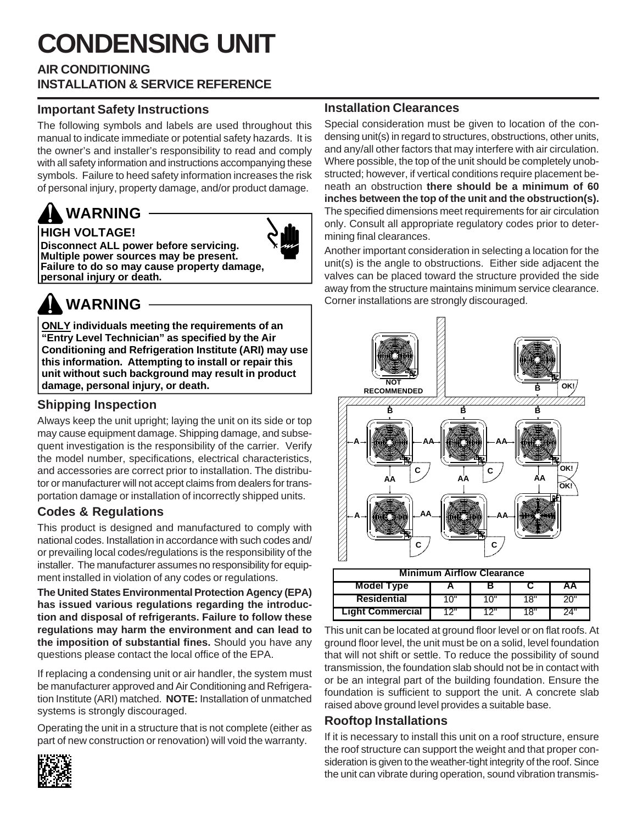# **CONDENSING UNIT**

#### **AIR CONDITIONING INSTALLATION & SERVICE REFERENCE**

#### **Important Safety Instructions**

The following symbols and labels are used throughout this manual to indicate immediate or potential safety hazards. It is the owner's and installer's responsibility to read and comply with all safety information and instructions accompanying these symbols. Failure to heed safety information increases the risk of personal injury, property damage, and/or product damage.

### **HIGH VOLTAGE! WARNING**



**Disconnect ALL power before servicing. Multiple power sources may be present. Failure to do so may cause property damage, personal injury or death.**



## **WARNING**

**ONLY individuals meeting the requirements of an "Entry Level Technician" as specified by the Air Conditioning and Refrigeration Institute (ARI) may use this information. Attempting to install or repair this unit without such background may result in product damage, personal injury, or death.**

### **Shipping Inspection**

Always keep the unit upright; laying the unit on its side or top may cause equipment damage. Shipping damage, and subsequent investigation is the responsibility of the carrier. Verify the model number, specifications, electrical characteristics, and accessories are correct prior to installation. The distributor or manufacturer will not accept claims from dealers for transportation damage or installation of incorrectly shipped units.

### **Codes & Regulations**

This product is designed and manufactured to comply with national codes. Installation in accordance with such codes and/ or prevailing local codes/regulations is the responsibility of the installer. The manufacturer assumes no responsibility for equipment installed in violation of any codes or regulations.

**The United States Environmental Protection Agency (EPA) has issued various regulations regarding the introduction and disposal of refrigerants. Failure to follow these regulations may harm the environment and can lead to the imposition of substantial fines.** Should you have any questions please contact the local office of the EPA.

If replacing a condensing unit or air handler, the system must be manufacturer approved and Air Conditioning and Refrigeration Institute (ARI) matched. **NOTE:** Installation of unmatched systems is strongly discouraged.

Operating the unit in a structure that is not complete (either as part of new construction or renovation) will void the warranty.



#### **Installation Clearances**

Special consideration must be given to location of the condensing unit(s) in regard to structures, obstructions, other units, and any/all other factors that may interfere with air circulation. Where possible, the top of the unit should be completely unobstructed; however, if vertical conditions require placement beneath an obstruction **there should be a minimum of 60 inches between the top of the unit and the obstruction(s).** The specified dimensions meet requirements for air circulation only. Consult all appropriate regulatory codes prior to determining final clearances.

Another important consideration in selecting a location for the unit(s) is the angle to obstructions. Either side adjacent the valves can be placed toward the structure provided the side away from the structure maintains minimum service clearance. Corner installations are strongly discouraged.



| <b>Minimum Airflow Clearance</b> |         |      |     |     |  |  |  |  |  |  |  |  |
|----------------------------------|---------|------|-----|-----|--|--|--|--|--|--|--|--|
| Model Type<br>ΑA                 |         |      |     |     |  |  |  |  |  |  |  |  |
| <b>Residential</b>               | 1 ( ) ' | יח 1 | 18" | 20" |  |  |  |  |  |  |  |  |
| <b>Light Commercial</b>          | 12"     | 12"  | 18" | 24" |  |  |  |  |  |  |  |  |

This unit can be located at ground floor level or on flat roofs. At ground floor level, the unit must be on a solid, level foundation that will not shift or settle. To reduce the possibility of sound transmission, the foundation slab should not be in contact with or be an integral part of the building foundation. Ensure the foundation is sufficient to support the unit. A concrete slab raised above ground level provides a suitable base.

### **Rooftop Installations**

If it is necessary to install this unit on a roof structure, ensure the roof structure can support the weight and that proper consideration is given to the weather-tight integrity of the roof. Since the unit can vibrate during operation, sound vibration transmis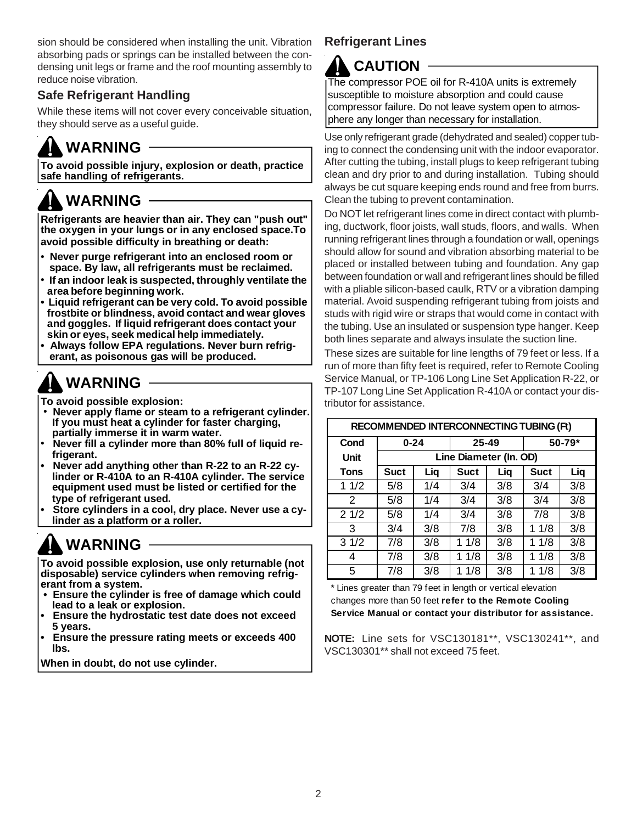sion should be considered when installing the unit. Vibration absorbing pads or springs can be installed between the condensing unit legs or frame and the roof mounting assembly to reduce noise vibration.

### **Safe Refrigerant Handling**

While these items will not cover every conceivable situation, they should serve as a useful guide.

## **WARNING**

**To avoid possible injury, explosion or death, practice safe handling of refrigerants.**

## **WARNING**

**Refrigerants are heavier than air. They can "push out" the oxygen in your lungs or in any enclosed space.To avoid possible difficulty in breathing or death:**

- **Never purge refrigerant into an enclosed room or space. By law, all refrigerants must be reclaimed.**
- **If an indoor leak is suspected, throughly ventilate the area before beginning work.**
- **Liquid refrigerant can be very cold. To avoid possible frostbite or blindness, avoid contact and wear gloves and goggles. If liquid refrigerant does contact your skin or eyes, seek medical help immediately.**
- **Always follow EPA regulations. Never burn refrig erant, as poisonous gas will be produced.**

## **WARNING**

**To avoid possible explosion:**

- **Never apply flame or steam to a refrigerant cylinder. If you must heat a cylinder for faster charging, partially immerse it in warm water.**
- **Never fill a cylinder more than 80% full of liquid re frigerant.**
- **Never add anything other than R-22 to an R-22 cy linder or R-410A to an R-410A cylinder. The service equipment used must be listed or certified for the type of refrigerant used.**
- **Store cylinders in a cool, dry place. Never use a cy linder as a platform or a roller.**

## **WARNING**

**To avoid possible explosion, use only returnable (not disposable) service cylinders when removing refrigerant from a system.**

- **Ensure the cylinder is free of damage which could lead to a leak or explosion.**
- **Ensure the hydrostatic test date does not exceed 5 years.**
- **Ensure the pressure rating meets or exceeds 400 lbs.**

**When in doubt, do not use cylinder.**

### **Refrigerant Lines**

### **CAUTION**

The compressor POE oil for R-410A units is extremely susceptible to moisture absorption and could cause compressor failure. Do not leave system open to atmosphere any longer than necessary for installation.

Use only refrigerant grade (dehydrated and sealed) copper tubing to connect the condensing unit with the indoor evaporator. After cutting the tubing, install plugs to keep refrigerant tubing clean and dry prior to and during installation. Tubing should always be cut square keeping ends round and free from burrs. Clean the tubing to prevent contamination.

Do NOT let refrigerant lines come in direct contact with plumbing, ductwork, floor joists, wall studs, floors, and walls. When running refrigerant lines through a foundation or wall, openings should allow for sound and vibration absorbing material to be placed or installed between tubing and foundation. Any gap between foundation or wall and refrigerant lines should be filled with a pliable silicon-based caulk, RTV or a vibration damping material. Avoid suspending refrigerant tubing from joists and studs with rigid wire or straps that would come in contact with the tubing. Use an insulated or suspension type hanger. Keep both lines separate and always insulate the suction line.

These sizes are suitable for line lengths of 79 feet or less. If a run of more than fifty feet is required, refer to Remote Cooling Service Manual, or TP-106 Long Line Set Application R-22, or TP-107 Long Line Set Application R-410A or contact your distributor for assistance.

| <b>RECOMMENDED INTERCONNECTING TUBING (Ft)</b> |                        |     |             |     |             |     |  |  |  |  |  |  |
|------------------------------------------------|------------------------|-----|-------------|-----|-------------|-----|--|--|--|--|--|--|
| Cond                                           | $0 - 24$               |     | 25-49       |     | 50-79*      |     |  |  |  |  |  |  |
| Unit                                           | Line Diameter (In. OD) |     |             |     |             |     |  |  |  |  |  |  |
| Tons                                           | <b>Suct</b>            | Liq | <b>Suct</b> | Liq | <b>Suct</b> | Liq |  |  |  |  |  |  |
| 11/2                                           | 5/8                    | 1/4 | 3/4         | 3/8 | 3/4         | 3/8 |  |  |  |  |  |  |
| 2                                              | 5/8                    | 1/4 | 3/4         | 3/8 | 3/4         | 3/8 |  |  |  |  |  |  |
| 21/2                                           | 5/8                    | 1/4 | 3/4         | 3/8 | 7/8         | 3/8 |  |  |  |  |  |  |
| 3                                              | 3/4                    | 3/8 | 7/8         | 3/8 | 11/8        | 3/8 |  |  |  |  |  |  |
| 31/2                                           | 7/8                    | 3/8 | 11/8        | 3/8 | 11/8        | 3/8 |  |  |  |  |  |  |
| 4                                              | 7/8                    | 3/8 | 11/8        | 3/8 | 11/8        | 3/8 |  |  |  |  |  |  |
| 5                                              | 7/8                    | 3/8 | 1/8         | 3/8 | 1 1/8       | 3/8 |  |  |  |  |  |  |

\* Lines greater than 79 feet in length or vertical elevation changes more than 50 feet **refer to the Remote Cooling Service Manual or contact your distributor for assistance.**

**NOTE:** Line sets for VSC130181\*\*, VSC130241\*\*, and VSC130301\*\* shall not exceed 75 feet.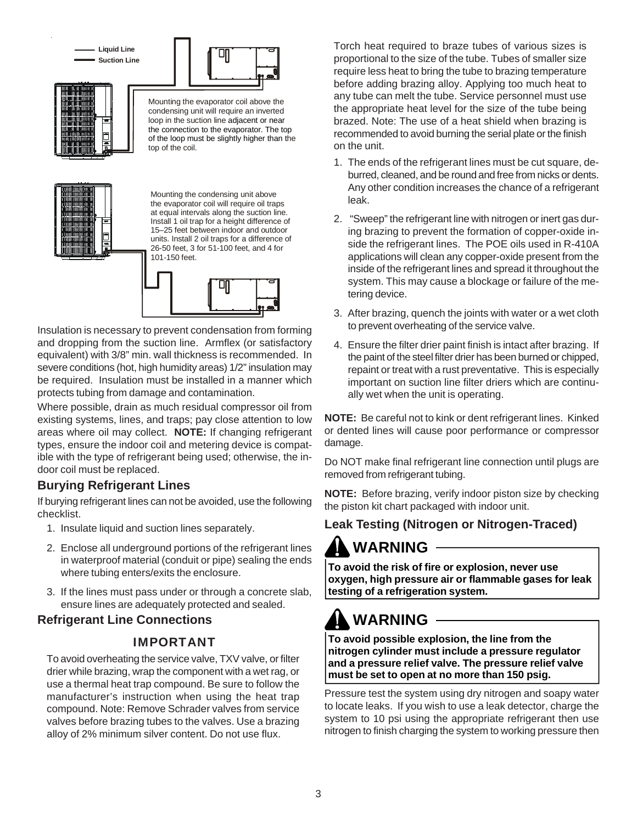





Mounting the evaporator coil above the condensing unit will require an inverted loop in the suction line adjacent or near the connection to the evaporator. The top of the loop must be slightly higher than the top of the coil.



Mounting the condensing unit above the evaporator coil will require oil traps at equal intervals along the suction line. Install 1 oil trap for a height difference of 15–25 feet between indoor and outdoor units. Install 2 oil traps for a difference of 26-50 feet, 3 for 51-100 feet, and 4 for 101-150 feet.



Insulation is necessary to prevent condensation from forming and dropping from the suction line. Armflex (or satisfactory equivalent) with 3/8" min. wall thickness is recommended. In severe conditions (hot, high humidity areas) 1/2" insulation may be required. Insulation must be installed in a manner which protects tubing from damage and contamination.

Where possible, drain as much residual compressor oil from existing systems, lines, and traps; pay close attention to low areas where oil may collect. **NOTE:** If changing refrigerant types, ensure the indoor coil and metering device is compatible with the type of refrigerant being used; otherwise, the indoor coil must be replaced.

### **Burying Refrigerant Lines**

If burying refrigerant lines can not be avoided, use the following checklist.

- 1. Insulate liquid and suction lines separately.
- 2. Enclose all underground portions of the refrigerant lines in waterproof material (conduit or pipe) sealing the ends where tubing enters/exits the enclosure.
- 3. If the lines must pass under or through a concrete slab, ensure lines are adequately protected and sealed.

### **Refrigerant Line Connections**

### IMPORTANT

To avoid overheating the service valve, TXV valve, or filter drier while brazing, wrap the component with a wet rag, or use a thermal heat trap compound. Be sure to follow the manufacturer's instruction when using the heat trap compound. Note: Remove Schrader valves from service valves before brazing tubes to the valves. Use a brazing alloy of 2% minimum silver content. Do not use flux.

Torch heat required to braze tubes of various sizes is proportional to the size of the tube. Tubes of smaller size require less heat to bring the tube to brazing temperature before adding brazing alloy. Applying too much heat to any tube can melt the tube. Service personnel must use the appropriate heat level for the size of the tube being brazed. Note: The use of a heat shield when brazing is recommended to avoid burning the serial plate or the finish on the unit.

- 1. The ends of the refrigerant lines must be cut square, deburred, cleaned, and be round and free from nicks or dents. Any other condition increases the chance of a refrigerant leak.
- 2. "Sweep" the refrigerant line with nitrogen or inert gas during brazing to prevent the formation of copper-oxide inside the refrigerant lines. The POE oils used in R-410A applications will clean any copper-oxide present from the inside of the refrigerant lines and spread it throughout the system. This may cause a blockage or failure of the metering device.
- 3. After brazing, quench the joints with water or a wet cloth to prevent overheating of the service valve.
- 4. Ensure the filter drier paint finish is intact after brazing. If the paint of the steel filter drier has been burned or chipped, repaint or treat with a rust preventative. This is especially important on suction line filter driers which are continually wet when the unit is operating.

**NOTE:** Be careful not to kink or dent refrigerant lines. Kinked or dented lines will cause poor performance or compressor damage.

Do NOT make final refrigerant line connection until plugs are removed from refrigerant tubing.

**NOTE:** Before brazing, verify indoor piston size by checking the piston kit chart packaged with indoor unit.

### **Leak Testing (Nitrogen or Nitrogen-Traced)**

## **WARNING**

**To avoid the risk of fire or explosion, never use oxygen, high pressure air or flammable gases for leak testing of a refrigeration system.**

# **WARNING**

**To avoid possible explosion, the line from the nitrogen cylinder must include a pressure regulator and a pressure relief valve. The pressure relief valve must be set to open at no more than 150 psig.**

Pressure test the system using dry nitrogen and soapy water to locate leaks. If you wish to use a leak detector, charge the system to 10 psi using the appropriate refrigerant then use nitrogen to finish charging the system to working pressure then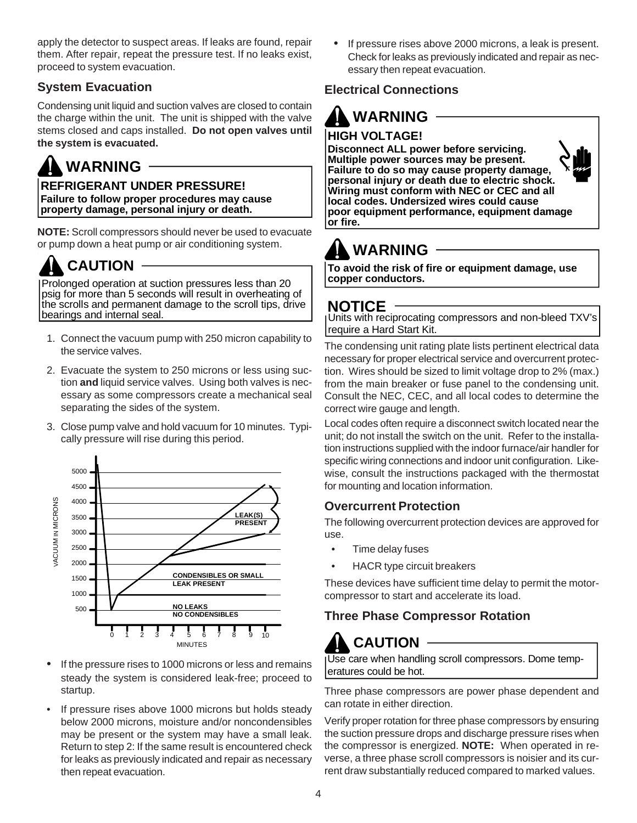apply the detector to suspect areas. If leaks are found, repair them. After repair, repeat the pressure test. If no leaks exist, proceed to system evacuation.

### **System Evacuation**

Condensing unit liquid and suction valves are closed to contain the charge within the unit. The unit is shipped with the valve stems closed and caps installed. **Do not open valves until the system is evacuated.**

## **WARNING**

**REFRIGERANT UNDER PRESSURE! Failure to follow proper procedures may cause property damage, personal injury or death.**

**NOTE:** Scroll compressors should never be used to evacuate or pump down a heat pump or air conditioning system.

## **CAUTION**

Prolonged operation at suction pressures less than 20 psig for more than 5 seconds will result in overheating of the scrolls and permanent damage to the scroll tips, drive bearings and internal seal.

- 1. Connect the vacuum pump with 250 micron capability to the service valves.
- 2. Evacuate the system to 250 microns or less using suction **and** liquid service valves. Using both valves is necessary as some compressors create a mechanical seal separating the sides of the system.
- 3. Close pump valve and hold vacuum for 10 minutes. Typically pressure will rise during this period.



- If the pressure rises to 1000 microns or less and remains steady the system is considered leak-free; proceed to startup.
- If pressure rises above 1000 microns but holds steady below 2000 microns, moisture and/or noncondensibles may be present or the system may have a small leak. Return to step 2: If the same result is encountered check for leaks as previously indicated and repair as necessary then repeat evacuation.

If pressure rises above 2000 microns, a leak is present. Check for leaks as previously indicated and repair as necessary then repeat evacuation.

### **Electrical Connections**

## **WARNING**

### **HIGH VOLTAGE!**

**Disconnect ALL power before servicing. Multiple power sources may be present. Failure to do so may cause property damage, personal injury or death due to electric shock. Wiring must conform with NEC or CEC and all local codes. Undersized wires could cause poor equipment performance, equipment damage or fire.**

# **WARNING**

**To avoid the risk of fire or equipment damage, use copper conductors.**

### **NOTICE**

Units with reciprocating compressors and non-bleed TXV's require a Hard Start Kit.

The condensing unit rating plate lists pertinent electrical data necessary for proper electrical service and overcurrent protection. Wires should be sized to limit voltage drop to 2% (max.) from the main breaker or fuse panel to the condensing unit. Consult the NEC, CEC, and all local codes to determine the correct wire gauge and length.

Local codes often require a disconnect switch located near the unit; do not install the switch on the unit. Refer to the installation instructions supplied with the indoor furnace/air handler for specific wiring connections and indoor unit configuration. Likewise, consult the instructions packaged with the thermostat for mounting and location information.

### **Overcurrent Protection**

The following overcurrent protection devices are approved for use.

- Time delay fuses
- HACR type circuit breakers

These devices have sufficient time delay to permit the motorcompressor to start and accelerate its load.

### **Three Phase Compressor Rotation**

### **CAUTION**

Use care when handling scroll compressors. Dome temperatures could be hot.

Three phase compressors are power phase dependent and can rotate in either direction.

Verify proper rotation for three phase compressors by ensuring the suction pressure drops and discharge pressure rises when the compressor is energized. **NOTE:** When operated in reverse, a three phase scroll compressors is noisier and its current draw substantially reduced compared to marked values.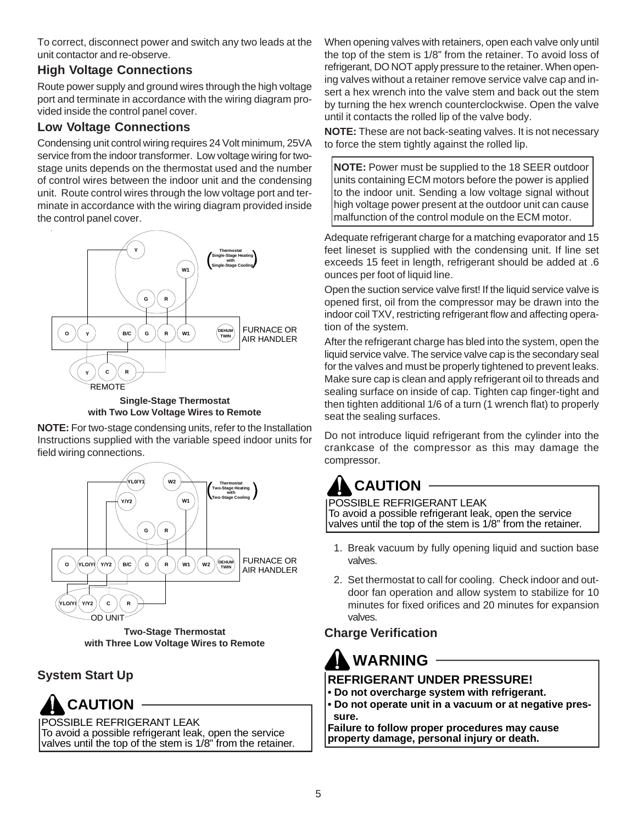To correct, disconnect power and switch any two leads at the unit contactor and re-observe.

### **High Voltage Connections**

Route power supply and ground wires through the high voltage port and terminate in accordance with the wiring diagram provided inside the control panel cover.

### **Low Voltage Connections**

Condensing unit control wiring requires 24 Volt minimum, 25VA service from the indoor transformer. Low voltage wiring for twostage units depends on the thermostat used and the number of control wires between the indoor unit and the condensing unit. Route control wires through the low voltage port and terminate in accordance with the wiring diagram provided inside the control panel cover.





**NOTE:** For two-stage condensing units, refer to the Installation Instructions supplied with the variable speed indoor units for field wiring connections.



**Two-Stage Thermostat with Three Low Voltage Wires to Remote**

### **System Start Up**

### **CAUTION**

POSSIBLE REFRIGERANT LEAK

To avoid a possible refrigerant leak, open the service valves until the top of the stem is 1/8" from the retainer. When opening valves with retainers, open each valve only until the top of the stem is 1/8" from the retainer. To avoid loss of refrigerant, DO NOT apply pressure to the retainer. When opening valves without a retainer remove service valve cap and insert a hex wrench into the valve stem and back out the stem by turning the hex wrench counterclockwise. Open the valve until it contacts the rolled lip of the valve body.

**NOTE:** These are not back-seating valves. It is not necessary to force the stem tightly against the rolled lip.

**NOTE:** Power must be supplied to the 18 SEER outdoor units containing ECM motors before the power is applied to the indoor unit. Sending a low voltage signal without high voltage power present at the outdoor unit can cause malfunction of the control module on the ECM motor.

Adequate refrigerant charge for a matching evaporator and 15 feet lineset is supplied with the condensing unit. If line set exceeds 15 feet in length, refrigerant should be added at .6 ounces per foot of liquid line.

Open the suction service valve first! If the liquid service valve is opened first, oil from the compressor may be drawn into the indoor coil TXV, restricting refrigerant flow and affecting operation of the system.

After the refrigerant charge has bled into the system, open the liquid service valve. The service valve cap is the secondary seal for the valves and must be properly tightened to prevent leaks. Make sure cap is clean and apply refrigerant oil to threads and sealing surface on inside of cap. Tighten cap finger-tight and then tighten additional 1/6 of a turn (1 wrench flat) to properly seat the sealing surfaces.

Do not introduce liquid refrigerant from the cylinder into the crankcase of the compressor as this may damage the compressor.

## **CAUTION**

POSSIBLE REFRIGERANT LEAK To avoid a possible refrigerant leak, open the service valves until the top of the stem is 1/8" from the retainer.

- 1. Break vacuum by fully opening liquid and suction base valves.
- 2. Set thermostat to call for cooling. Check indoor and outdoor fan operation and allow system to stabilize for 10 minutes for fixed orifices and 20 minutes for expansion valves.

### **Charge Verification**

### **WARNING**

### **REFRIGERANT UNDER PRESSURE!**

- **Do not overcharge system with refrigerant.**
- **Do not operate unit in a vacuum or at negative pres sure.**

**Failure to follow proper procedures may cause property damage, personal injury or death.**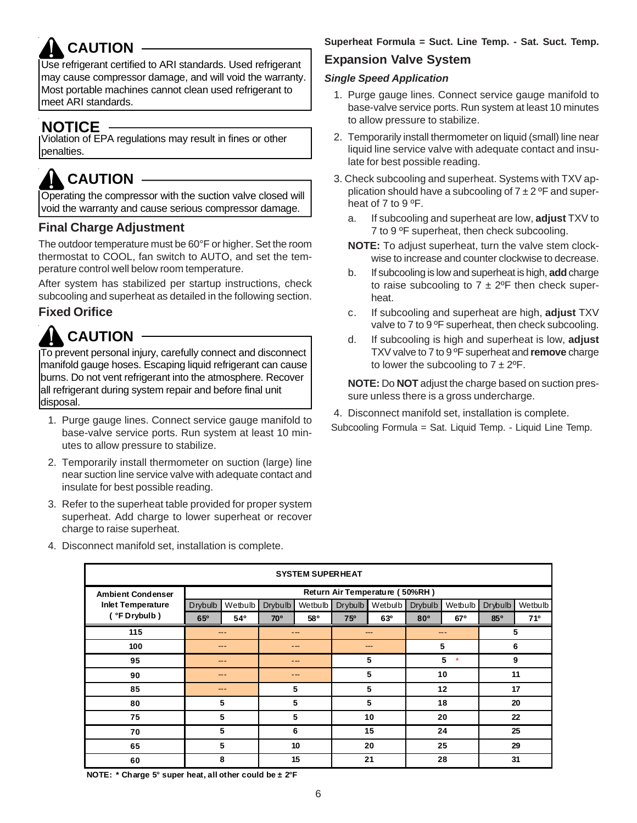# **CAUTION**

Use refrigerant certified to ARI standards. Used refrigerant may cause compressor damage, and will void the warranty. Most portable machines cannot clean used refrigerant to meet ARI standards.

### **NOTICE**

Violation of EPA regulations may result in fines or other penalties.

## **CAUTION**

Operating the compressor with the suction valve closed will void the warranty and cause serious compressor damage.

### **Final Charge Adjustment**

The outdoor temperature must be 60°F or higher. Set the room thermostat to COOL, fan switch to AUTO, and set the temperature control well below room temperature.

After system has stabilized per startup instructions, check subcooling and superheat as detailed in the following section.

### **Fixed Orifice**

## **CAUTION**

To prevent personal injury, carefully connect and disconnect manifold gauge hoses. Escaping liquid refrigerant can cause burns. Do not vent refrigerant into the atmosphere. Recover all refrigerant during system repair and before final unit disposal.

- 1. Purge gauge lines. Connect service gauge manifold to base-valve service ports. Run system at least 10 minutes to allow pressure to stabilize.
- 2. Temporarily install thermometer on suction (large) line near suction line service valve with adequate contact and insulate for best possible reading.
- 3. Refer to the superheat table provided for proper system superheat. Add charge to lower superheat or recover charge to raise superheat.
- 4. Disconnect manifold set, installation is complete.

#### **Superheat Formula = Suct. Line Temp. - Sat. Suct. Temp.**

### **Expansion Valve System**

#### *Single Speed Application*

- 1. Purge gauge lines. Connect service gauge manifold to base-valve service ports. Run system at least 10 minutes to allow pressure to stabilize.
- 2. Temporarily install thermometer on liquid (small) line near liquid line service valve with adequate contact and insulate for best possible reading.
- 3. Check subcooling and superheat. Systems with TXV application should have a subcooling of  $7 \pm 2$  °F and superheat of 7 to 9 °F.
	- a. If subcooling and superheat are low, **adjust** TXV to 7 to 9 ºF superheat, then check subcooling.
	- **NOTE:** To adjust superheat, turn the valve stem clockwise to increase and counter clockwise to decrease.
	- b. If subcooling is low and superheat is high, **add** charge to raise subcooling to  $7 \pm 2$ °F then check superheat.
	- c. If subcooling and superheat are high, **adjust** TXV valve to 7 to 9 °F superheat, then check subcooling.
	- d. If subcooling is high and superheat is low, **adjust** TXV valve to 7 to 9 ºF superheat and **remove** charge to lower the subcooling to  $7 \pm 2^{\circ}F$ .

**NOTE:** Do **NOT** adjust the charge based on suction pressure unless there is a gross undercharge.

4. Disconnect manifold set, installation is complete.

Subcooling Formula = Sat. Liquid Temp. - Liquid Line Temp.

| <b>SYSTEM SUPERHEAT</b>  |                |              |                |         |                |                                |                 |              |         |         |  |  |
|--------------------------|----------------|--------------|----------------|---------|----------------|--------------------------------|-----------------|--------------|---------|---------|--|--|
| <b>Ambient Condenser</b> |                |              |                |         |                | Return Air Temperature (50%RH) |                 |              |         |         |  |  |
| <b>Inlet Temperature</b> | <b>Drybulb</b> | Wetbulb      | <b>Drybulb</b> | Wetbulb | <b>Drybulb</b> | Wetbulb                        | Drybulb         | Wetbulb      | Drybulb | Wetbulb |  |  |
| ( °F Drybulb )           | 65°            | $54^{\circ}$ | <b>70°</b>     | 58°     | 75°            | 63°                            | 80 <sup>o</sup> | 67°          | 850     | 710     |  |  |
| 115                      |                | ---          |                | ---     |                | $\qquad \qquad \cdots$         |                 | ---          | 5       |         |  |  |
| 100                      |                |              |                | ---     |                | $---$                          |                 | 5            | 6       |         |  |  |
| 95                       |                | -- -         |                | $- - -$ |                | 5                              |                 | 5<br>$\star$ | 9       |         |  |  |
| 90                       |                | $- - -$      |                | ---     |                | 5                              |                 | 10           | 11      |         |  |  |
| 85                       |                | ---          |                | 5       |                | 5                              |                 | 12           | 17      |         |  |  |
| 80                       |                | 5            |                | 5       |                | 5                              |                 | 18           | 20      |         |  |  |
| 75                       |                | 5            |                | 5       |                | 10                             |                 | 20           | 22      |         |  |  |
| 70                       |                | 5            |                | 6       |                | 15                             |                 | 24           | 25      |         |  |  |
| 65                       |                | 5            |                | 10      |                | 20                             |                 | 25           | 29      |         |  |  |
| 60                       |                | 8            |                | 15      |                | 21                             |                 | 28           | 31      |         |  |  |

**NOTE: \* Charge 5° super heat, all other could be ± 2°F**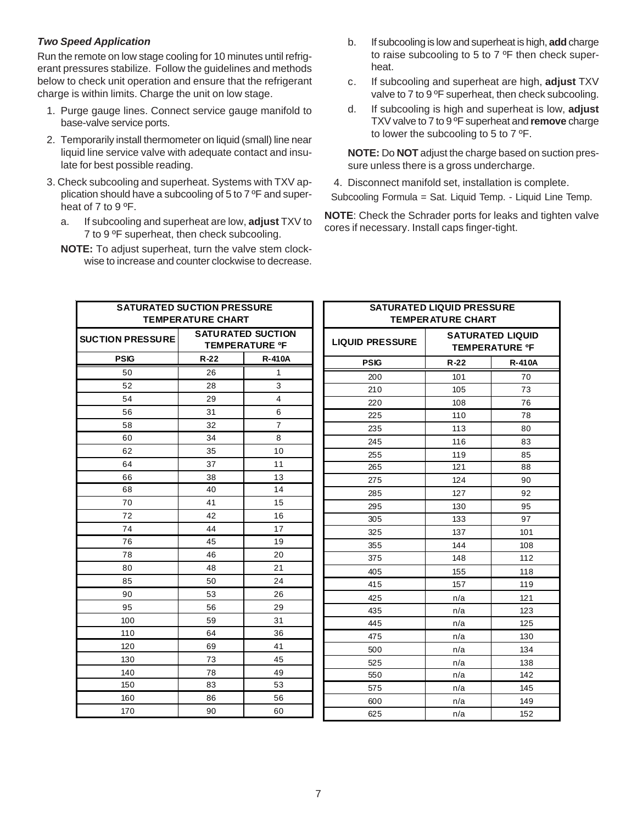#### *Two Speed Application*

Run the remote on low stage cooling for 10 minutes until refrigerant pressures stabilize. Follow the guidelines and methods below to check unit operation and ensure that the refrigerant charge is within limits. Charge the unit on low stage.

- 1. Purge gauge lines. Connect service gauge manifold to base-valve service ports.
- 2. Temporarily install thermometer on liquid (small) line near liquid line service valve with adequate contact and insulate for best possible reading.
- 3. Check subcooling and superheat. Systems with TXV application should have a subcooling of 5 to 7 ºF and superheat of 7 to 9 ºF.
	- a. If subcooling and superheat are low, **adjust** TXV to 7 to 9 ºF superheat, then check subcooling.
	- **NOTE:** To adjust superheat, turn the valve stem clockwise to increase and counter clockwise to decrease.
- b. If subcooling is low and superheat is high, **add** charge to raise subcooling to 5 to 7 ºF then check superheat.
- c. If subcooling and superheat are high, **adjust** TXV valve to 7 to 9 °F superheat, then check subcooling.
- d. If subcooling is high and superheat is low, **adjust** TXV valve to 7 to 9 ºF superheat and **remove** charge to lower the subcooling to 5 to 7 ºF.

**NOTE:** Do **NOT** adjust the charge based on suction pressure unless there is a gross undercharge.

4. Disconnect manifold set, installation is complete. Subcooling Formula = Sat. Liquid Temp. - Liquid Line Temp.

**NOTE**: Check the Schrader ports for leaks and tighten valve cores if necessary. Install caps finger-tight.

| <b>SATURATED SUCTION PRESSURE</b> | <b>TEMPERATURE CHART</b> |                                                   | <b>SATURATED LIQUID PRESSURE</b><br><b>TEMPERATURE CHART</b> |                                                  |               |  |  |  |  |
|-----------------------------------|--------------------------|---------------------------------------------------|--------------------------------------------------------------|--------------------------------------------------|---------------|--|--|--|--|
| <b>SUCTION PRESSURE</b>           |                          | <b>SATURATED SUCTION</b><br><b>TEMPERATURE OF</b> | <b>LIQUID PRESSURE</b>                                       | <b>SATURATED LIQUID</b><br><b>TEMPERATURE OF</b> |               |  |  |  |  |
| <b>PSIG</b>                       | $R-22$                   | <b>R-410A</b>                                     | <b>PSIG</b>                                                  | $R-22$                                           | <b>R-410A</b> |  |  |  |  |
| 50                                | 26                       | 1                                                 | 200                                                          | 101                                              | 70            |  |  |  |  |
| 52                                | 28                       | 3                                                 | 210                                                          | 105                                              | 73            |  |  |  |  |
| 54                                | 29                       | $\overline{4}$                                    | 220                                                          | 108                                              | 76            |  |  |  |  |
| 56                                | 31                       | 6                                                 | 225                                                          | 110                                              | 78            |  |  |  |  |
| 58                                | 32                       | $\overline{7}$                                    | 235                                                          | 113                                              | 80            |  |  |  |  |
| 60                                | 34                       | 8                                                 | 245                                                          | 116                                              | 83            |  |  |  |  |
| 62                                | 35                       | 10                                                | 255                                                          | 119                                              | 85            |  |  |  |  |
| 64                                | 37                       | 11                                                | 265                                                          | 121                                              | 88            |  |  |  |  |
| 66                                | 38                       | 13                                                | 275                                                          | 124                                              | 90            |  |  |  |  |
| 68                                | 40                       | 14                                                | 285                                                          | 127                                              | 92            |  |  |  |  |
| 70                                | 41                       | 15                                                | 295                                                          | 130                                              | 95            |  |  |  |  |
| 72                                | 42                       | 16                                                | 305                                                          | 133                                              | 97            |  |  |  |  |
| 74                                | 44                       | 17                                                | 325                                                          | 137                                              | 101           |  |  |  |  |
| 76                                | 45                       | 19                                                | 355                                                          | 144                                              | 108           |  |  |  |  |
| 78                                | 46                       | 20                                                | 375                                                          | 148                                              | 112           |  |  |  |  |
| 80                                | 48                       | 21                                                | 405                                                          | 155                                              | 118           |  |  |  |  |
| 85                                | 50                       | 24                                                | 415                                                          | 157                                              | 119           |  |  |  |  |
| 90                                | 53                       | 26                                                | 425                                                          | n/a                                              | 121           |  |  |  |  |
| 95                                | 56                       | 29                                                | 435                                                          | n/a                                              | 123           |  |  |  |  |
| 100                               | 59                       | 31                                                | 445                                                          | n/a                                              | 125           |  |  |  |  |
| 110                               | 64                       | 36                                                | 475                                                          | n/a                                              | 130           |  |  |  |  |
| 120                               | 69                       | 41                                                | 500                                                          | n/a                                              | 134           |  |  |  |  |
| 130                               | 73                       | 45                                                | 525                                                          | n/a                                              | 138           |  |  |  |  |
| 140                               | 78                       | 49                                                | 550                                                          | n/a                                              | 142           |  |  |  |  |
| 150                               | 83                       | 53                                                | 575                                                          | n/a                                              | 145           |  |  |  |  |
| 160                               | 86                       | 56                                                | 600                                                          | n/a                                              | 149           |  |  |  |  |
| 170                               | 90                       | 60                                                | 625                                                          | n/a                                              | 152           |  |  |  |  |